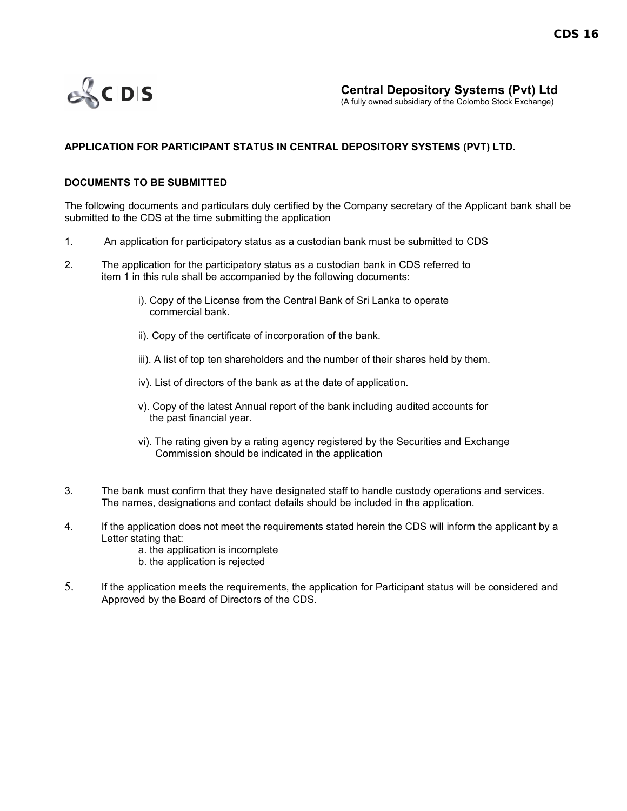

(A fully owned subsidiary of the Colombo Stock Exchange)

## **APPLICATION FOR PARTICIPANT STATUS IN CENTRAL DEPOSITORY SYSTEMS (PVT) LTD.**

## **DOCUMENTS TO BE SUBMITTED**

The following documents and particulars duly certified by the Company secretary of the Applicant bank shall be submitted to the CDS at the time submitting the application

- 1. An application for participatory status as a custodian bank must be submitted to CDS
- 2. The application for the participatory status as a custodian bank in CDS referred to item 1 in this rule shall be accompanied by the following documents:
	- i). Copy of the License from the Central Bank of Sri Lanka to operate commercial bank.
	- ii). Copy of the certificate of incorporation of the bank.
	- iii). A list of top ten shareholders and the number of their shares held by them.
	- iv). List of directors of the bank as at the date of application.
	- v). Copy of the latest Annual report of the bank including audited accounts for the past financial year.
	- vi). The rating given by a rating agency registered by the Securities and Exchange Commission should be indicated in the application
- 3. The bank must confirm that they have designated staff to handle custody operations and services. The names, designations and contact details should be included in the application.
- 4. If the application does not meet the requirements stated herein the CDS will inform the applicant by a Letter stating that:
	- a. the application is incomplete
	- b. the application is rejected
- 5. If the application meets the requirements, the application for Participant status will be considered and Approved by the Board of Directors of the CDS.